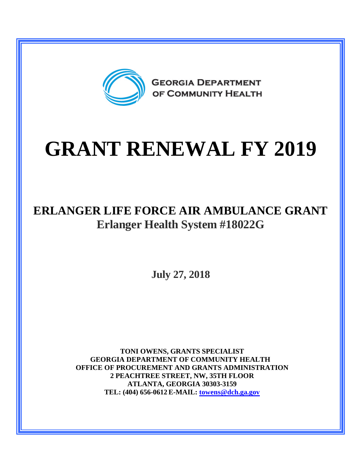

# **GRANT RENEWAL FY 2019**

## **ERLANGER LIFE FORCE AIR AMBULANCE GRANT Erlanger Health System #18022G**

**July 27, 2018**

**TONI OWENS, GRANTS SPECIALIST GEORGIA DEPARTMENT OF COMMUNITY HEALTH OFFICE OF PROCUREMENT AND GRANTS ADMINISTRATION 2 PEACHTREE STREET, NW, 35TH FLOOR ATLANTA, GEORGIA 30303-3159 TEL: (404) 656-0612 E-MAIL: [towens@dch.ga.gov](mailto:towens@dch.ga.gov)**